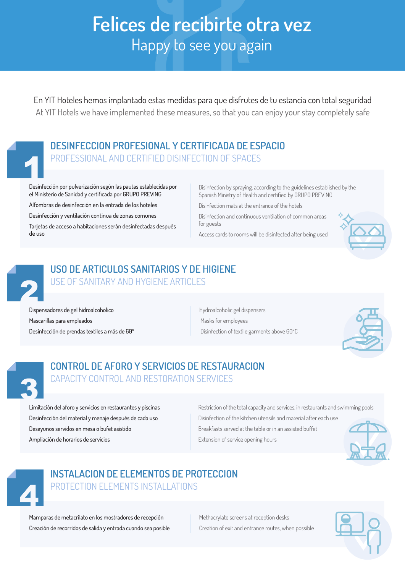# **Felices de recibirte otra vez** Happy to see you again

En YIT Hoteles hemos implantado estas medidas para que disfrutes de tu estancia con total seguridad At YIT Hotels we have implemented these measures, so that you can enjoy your stay completely safe

### **DESINFECCION PROFESIONAL Y CERTIFICADA DE ESPACIO**

PROFESSIONAL AND CERTIFIED DISINFECTION OF SPACES

Desinfección por pulverización según las pautas establecidas por el Ministerio de Sanidad y certificada por GRUPO PREVING

Alfombras de desinfección en la entrada de los hoteles

Desinfección y ventilación continua de zonas comunes

Tarjetas de acceso a habitaciones serán desinfectadas después de uso

Disinfection by spraying, according to the guidelines established by the Spanish Ministry of Health and certified by GRUPO PREVING

Disinfection mats at the entrance of the hotels

Disinfection and continuous ventilation of common areas for guests

Access cards to rooms will be disinfected after being used





#### **USO DE ARTICULOS SANITARIOS Y DE HIGIENE** USE OF SANITARY AND HYGIENE ARTICLES

Dispensadores de gel hidroalcoholico Mascarillas para empleados Desinfección de prendas textiles a más de 60º Hydroalcoholic gel dispensers Masks for employees Disinfection of textile garments above 60ºC



#### **CONTROL DE AFORO Y SERVICIOS DE RESTAURACION** CAPACITY CONTROL AND RESTORATION SERVICES

Limitación del aforo y servicios en restaurantes y piscinas Desinfección del material y menaje después de cada uso Desayunos servidos en mesa o bufet asistido Ampliación de horarios de servicios

Restriction of the total capacity and services, in restaurants and swimming pools Disinfection of the kitchen utensils and material after each use Breakfasts served at the table or in an assisted buffet Extension of service opening hours





#### **INSTALACION DE ELEMENTOS DE PROTECCION** PROTECTION ELEMENTS INSTALLATIONS

Mamparas de metacrilato en los mostradores de recepción Creación de recorridos de salida y entrada cuando sea posible Methacrylate screens at reception desks Creation of exit and entrance routes, when possible